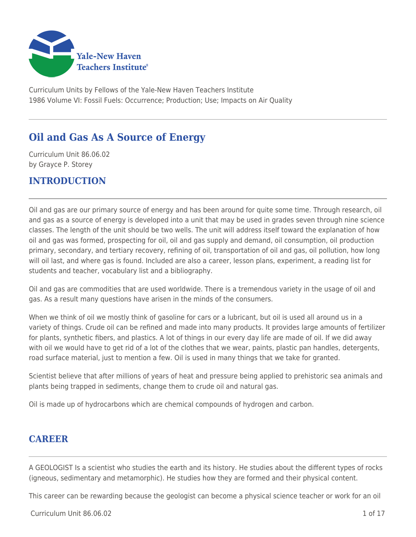

Curriculum Units by Fellows of the Yale-New Haven Teachers Institute 1986 Volume VI: Fossil Fuels: Occurrence; Production; Use; Impacts on Air Quality

# **Oil and Gas As A Source of Energy**

Curriculum Unit 86.06.02 by Grayce P. Storey

## **INTRODUCTION**

Oil and gas are our primary source of energy and has been around for quite some time. Through research, oil and gas as a source of energy is developed into a unit that may be used in grades seven through nine science classes. The length of the unit should be two wells. The unit will address itself toward the explanation of how oil and gas was formed, prospecting for oil, oil and gas supply and demand, oil consumption, oil production primary, secondary, and tertiary recovery, refining of oil, transportation of oil and gas, oil pollution, how long will oil last, and where gas is found. Included are also a career, lesson plans, experiment, a reading list for students and teacher, vocabulary list and a bibliography.

Oil and gas are commodities that are used worldwide. There is a tremendous variety in the usage of oil and gas. As a result many questions have arisen in the minds of the consumers.

When we think of oil we mostly think of gasoline for cars or a lubricant, but oil is used all around us in a variety of things. Crude oil can be refined and made into many products. It provides large amounts of fertilizer for plants, synthetic fibers, and plastics. A lot of things in our every day life are made of oil. If we did away with oil we would have to get rid of a lot of the clothes that we wear, paints, plastic pan handles, detergents, road surface material, just to mention a few. Oil is used in many things that we take for granted.

Scientist believe that after millions of years of heat and pressure being applied to prehistoric sea animals and plants being trapped in sediments, change them to crude oil and natural gas.

Oil is made up of hydrocarbons which are chemical compounds of hydrogen and carbon.

### **CAREER**

A GEOLOGIST Is a scientist who studies the earth and its history. He studies about the different types of rocks (igneous, sedimentary and metamorphic). He studies how they are formed and their physical content.

This career can be rewarding because the geologist can become a physical science teacher or work for an oil

 $Curriculum$  Unit 86.06.02  $1 \text{ of } 17$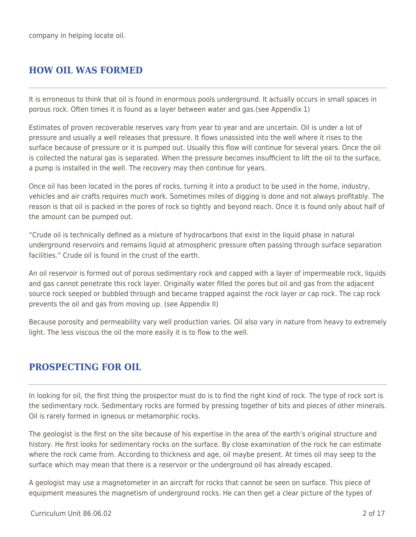company in helping locate oil.

# **HOW OIL WAS FORMED**

It is erroneous to think that oil is found in enormous pools underground. It actually occurs in small spaces in porous rock. Often times it is found as a layer between water and gas.(see Appendix 1)

Estimates of proven recoverable reserves vary from year to year and are uncertain. Oil is under a lot of pressure and usually a well releases that pressure. It flows unassisted into the well where it rises to the surface because of pressure or it is pumped out. Usually this flow will continue for several years. Once the oil is collected the natural gas is separated. When the pressure becomes insufficient to lift the oil to the surface, a pump is installed in the well. The recovery may then continue for years.

Once oil has been located in the pores of rocks, turning it into a product to be used in the home, industry, vehicles and air crafts requires much work. Sometimes miles of digging is done and not always profitably. The reason is that oil is packed in the pores of rock so tightly and beyond reach. Once it is found only about half of the amount can be pumped out.

"Crude oil is technically defined as a mixture of hydrocarbons that exist in the liquid phase in natural underground reservoirs and remains liquid at atmospheric pressure often passing through surface separation facilities." Crude oil is found in the crust of the earth.

An oil reservoir is formed out of porous sedimentary rock and capped with a layer of impermeable rock, liquids and gas cannot penetrate this rock layer. Originally water filled the pores but oil and gas from the adjacent source rock seeped or bubbled through and became trapped against the rock layer or cap rock. The cap rock prevents the oil and gas from moving up. (see Appendix II)

Because porosity and permeability vary well production varies. Oil also vary in nature from heavy to extremely light. The less viscous the oil the more easily it is to flow to the well.

# **PROSPECTING FOR OIL**

In looking for oil, the first thing the prospector must do is to find the right kind of rock. The type of rock sort is the sedimentary rock. Sedimentary rocks are formed by pressing together of bits and pieces of other minerals. Oil is rarely formed in igneous or metamorphic rocks.

The geologist is the first on the site because of his expertise in the area of the earth's original structure and history. He first looks for sedimentary rocks on the surface. By close examination of the rock he can estimate where the rock came from. According to thickness and age, oil maybe present. At times oil may seep to the surface which may mean that there is a reservoir or the underground oil has already escaped.

A geologist may use a magnetometer in an aircraft for rocks that cannot be seen on surface. This piece of equipment measures the magnetism of underground rocks. He can then get a clear picture of the types of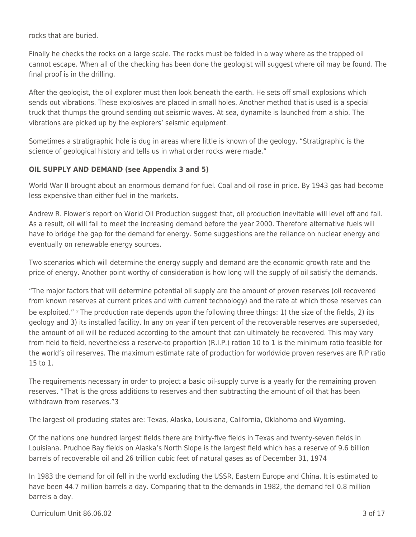rocks that are buried.

Finally he checks the rocks on a large scale. The rocks must be folded in a way where as the trapped oil cannot escape. When all of the checking has been done the geologist will suggest where oil may be found. The final proof is in the drilling.

After the geologist, the oil explorer must then look beneath the earth. He sets off small explosions which sends out vibrations. These explosives are placed in small holes. Another method that is used is a special truck that thumps the ground sending out seismic waves. At sea, dynamite is launched from a ship. The vibrations are picked up by the explorers' seismic equipment.

Sometimes a stratigraphic hole is dug in areas where little is known of the geology. "Stratigraphic is the science of geological history and tells us in what order rocks were made."

### **OIL SUPPLY AND DEMAND (see Appendix 3 and 5)**

World War II brought about an enormous demand for fuel. Coal and oil rose in price. By 1943 gas had become less expensive than either fuel in the markets.

Andrew R. Flower's report on World Oil Production suggest that, oil production inevitable will level off and fall. As a result, oil will fail to meet the increasing demand before the year 2000. Therefore alternative fuels will have to bridge the gap for the demand for energy. Some suggestions are the reliance on nuclear energy and eventually on renewable energy sources.

Two scenarios which will determine the energy supply and demand are the economic growth rate and the price of energy. Another point worthy of consideration is how long will the supply of oil satisfy the demands.

"The major factors that will determine potential oil supply are the amount of proven reserves (oil recovered from known reserves at current prices and with current technology) and the rate at which those reserves can be exploited." 2 The production rate depends upon the following three things: 1) the size of the fields, 2) its geology and 3) its installed facility. In any on year if ten percent of the recoverable reserves are superseded, the amount of oil will be reduced according to the amount that can ultimately be recovered. This may vary from field to field, nevertheless a reserve-to proportion (R.I.P.) ration 10 to 1 is the minimum ratio feasible for the world's oil reserves. The maximum estimate rate of production for worldwide proven reserves are RIP ratio 15 to 1.

The requirements necessary in order to project a basic oil-supply curve is a yearly for the remaining proven reserves. "That is the gross additions to reserves and then subtracting the amount of oil that has been withdrawn from reserves "3

The largest oil producing states are: Texas, Alaska, Louisiana, California, Oklahoma and Wyoming.

Of the nations one hundred largest fields there are thirty-five fields in Texas and twenty-seven fields in Louisiana. Prudhoe Bay fields on Alaska's North Slope is the largest field which has a reserve of 9.6 billion barrels of recoverable oil and 26 trillion cubic feet of natural gases as of December 31, 1974

In 1983 the demand for oil fell in the world excluding the USSR, Eastern Europe and China. It is estimated to have been 44.7 million barrels a day. Comparing that to the demands in 1982, the demand fell 0.8 million barrels a day.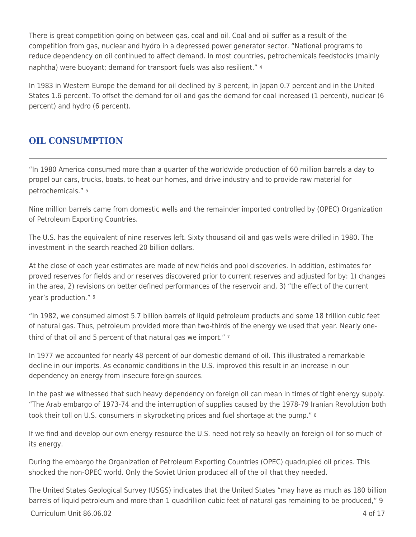There is great competition going on between gas, coal and oil. Coal and oil suffer as a result of the competition from gas, nuclear and hydro in a depressed power generator sector. "National programs to reduce dependency on oil continued to affect demand. In most countries, petrochemicals feedstocks (mainly naphtha) were buoyant; demand for transport fuels was also resilient." <sup>4</sup>

In 1983 in Western Europe the demand for oil declined by 3 percent, in Japan 0.7 percent and in the United States 1.6 percent. To offset the demand for oil and gas the demand for coal increased (1 percent), nuclear (6 percent) and hydro (6 percent).

# **OIL CONSUMPTION**

"In 1980 America consumed more than a quarter of the worldwide production of 60 million barrels a day to propel our cars, trucks, boats, to heat our homes, and drive industry and to provide raw material for petrochemicals." <sup>5</sup>

Nine million barrels came from domestic wells and the remainder imported controlled by (OPEC) Organization of Petroleum Exporting Countries.

The U.S. has the equivalent of nine reserves left. Sixty thousand oil and gas wells were drilled in 1980. The investment in the search reached 20 billion dollars.

At the close of each year estimates are made of new fields and pool discoveries. In addition, estimates for proved reserves for fields and or reserves discovered prior to current reserves and adjusted for by: 1) changes in the area, 2) revisions on better defined performances of the reservoir and, 3) "the effect of the current year's production." <sup>6</sup>

"In 1982, we consumed almost 5.7 billion barrels of liquid petroleum products and some 18 trillion cubic feet of natural gas. Thus, petroleum provided more than two-thirds of the energy we used that year. Nearly onethird of that oil and 5 percent of that natural gas we import." 7

In 1977 we accounted for nearly 48 percent of our domestic demand of oil. This illustrated a remarkable decline in our imports. As economic conditions in the U.S. improved this result in an increase in our dependency on energy from insecure foreign sources.

In the past we witnessed that such heavy dependency on foreign oil can mean in times of tight energy supply. "The Arab embargo of 1973-74 and the interruption of supplies caused by the 1978-79 Iranian Revolution both took their toll on U.S. consumers in skyrocketing prices and fuel shortage at the pump." 8

If we find and develop our own energy resource the U.S. need not rely so heavily on foreign oil for so much of its energy.

During the embargo the Organization of Petroleum Exporting Countries (OPEC) quadrupled oil prices. This shocked the non-OPEC world. Only the Soviet Union produced all of the oil that they needed.

The United States Geological Survey (USGS) indicates that the United States "may have as much as 180 billion barrels of liquid petroleum and more than 1 quadrillion cubic feet of natural gas remaining to be produced," 9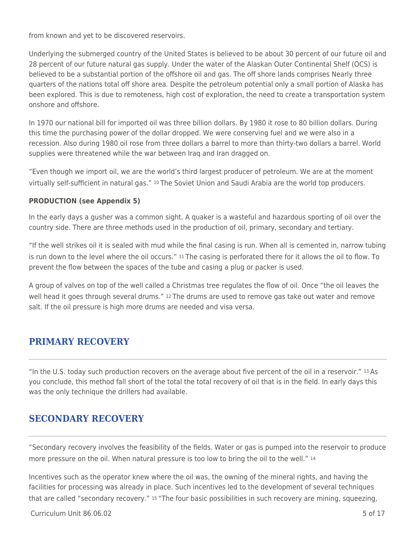from known and yet to be discovered reservoirs.

Underlying the submerged country of the United States is believed to be about 30 percent of our future oil and 28 percent of our future natural gas supply. Under the water of the Alaskan Outer Continental Shelf (OCS) is believed to be a substantial portion of the offshore oil and gas. The off shore lands comprises Nearly three quarters of the nations total off shore area. Despite the petroleum potential only a small portion of Alaska has been explored. This is due to remoteness, high cost of exploration, the need to create a transportation system onshore and offshore.

In 1970 our national bill for imported oil was three billion dollars. By 1980 it rose to 80 billion dollars. During this time the purchasing power of the dollar dropped. We were conserving fuel and we were also in a recession. Also during 1980 oil rose from three dollars a barrel to more than thirty-two dollars a barrel. World supplies were threatened while the war between Iraq and Iran dragged on.

"Even though we import oil, we are the world's third largest producer of petroleum. We are at the moment virtually self-sufficient in natural gas." 10 The Soviet Union and Saudi Arabia are the world top producers.

### **PRODUCTION (see Appendix 5)**

In the early days a gusher was a common sight. A quaker is a wasteful and hazardous sporting of oil over the country side. There are three methods used in the production of oil, primary, secondary and tertiary.

"If the well strikes oil it is sealed with mud while the final casing is run. When all is cemented in, narrow tubing is run down to the level where the oil occurs." 11 The casing is perforated there for it allows the oil to flow. To prevent the flow between the spaces of the tube and casing a plug or packer is used.

A group of valves on top of the well called a Christmas tree regulates the flow of oil. Once "the oil leaves the well head it goes through several drums." 12 The drums are used to remove gas take out water and remove salt. If the oil pressure is high more drums are needed and visa versa.

# **PRIMARY RECOVERY**

"In the U.S. today such production recovers on the average about five percent of the oil in a reservoir." 13 As you conclude, this method fall short of the total the total recovery of oil that is in the field. In early days this was the only technique the drillers had available.

# **SECONDARY RECOVERY**

"Secondary recovery involves the feasibility of the fields. Water or gas is pumped into the reservoir to produce more pressure on the oil. When natural pressure is too low to bring the oil to the well." 14

Incentives such as the operator knew where the oil was, the owning of the mineral rights, and having the facilities for processing was already in place. Such incentives led to the development of several techniques that are called "secondary recovery." 15 "The four basic possibilities in such recovery are mining, squeezing,

 $Curriculum$  Unit 86.06.02  $\qquad \qquad$  5 of 17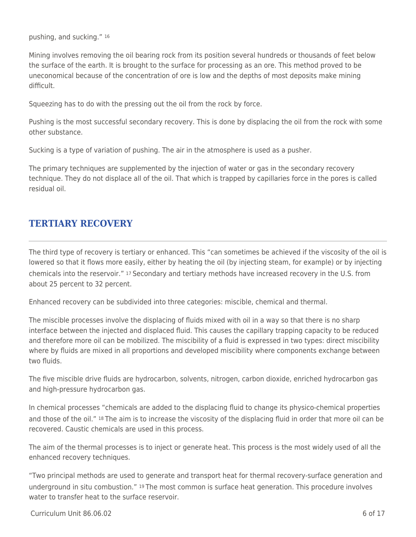pushing, and sucking." <sup>16</sup>

Mining involves removing the oil bearing rock from its position several hundreds or thousands of feet below the surface of the earth. It is brought to the surface for processing as an ore. This method proved to be uneconomical because of the concentration of ore is low and the depths of most deposits make mining difficult.

Squeezing has to do with the pressing out the oil from the rock by force.

Pushing is the most successful secondary recovery. This is done by displacing the oil from the rock with some other substance.

Sucking is a type of variation of pushing. The air in the atmosphere is used as a pusher.

The primary techniques are supplemented by the injection of water or gas in the secondary recovery technique. They do not displace all of the oil. That which is trapped by capillaries force in the pores is called residual oil.

# **TERTIARY RECOVERY**

The third type of recovery is tertiary or enhanced. This "can sometimes be achieved if the viscosity of the oil is lowered so that it flows more easily, either by heating the oil (by injecting steam, for example) or by injecting chemicals into the reservoir." 17 Secondary and tertiary methods have increased recovery in the U.S. from about 25 percent to 32 percent.

Enhanced recovery can be subdivided into three categories: miscible, chemical and thermal.

The miscible processes involve the displacing of fluids mixed with oil in a way so that there is no sharp interface between the injected and displaced fluid. This causes the capillary trapping capacity to be reduced and therefore more oil can be mobilized. The miscibility of a fluid is expressed in two types: direct miscibility where by fluids are mixed in all proportions and developed miscibility where components exchange between two fluids.

The five miscible drive fluids are hydrocarbon, solvents, nitrogen, carbon dioxide, enriched hydrocarbon gas and high-pressure hydrocarbon gas.

In chemical processes "chemicals are added to the displacing fluid to change its physico-chemical properties and those of the oil." 18 The aim is to increase the viscosity of the displacing fluid in order that more oil can be recovered. Caustic chemicals are used in this process.

The aim of the thermal processes is to inject or generate heat. This process is the most widely used of all the enhanced recovery techniques.

"Two principal methods are used to generate and transport heat for thermal recovery-surface generation and underground in situ combustion." 19 The most common is surface heat generation. This procedure involves water to transfer heat to the surface reservoir.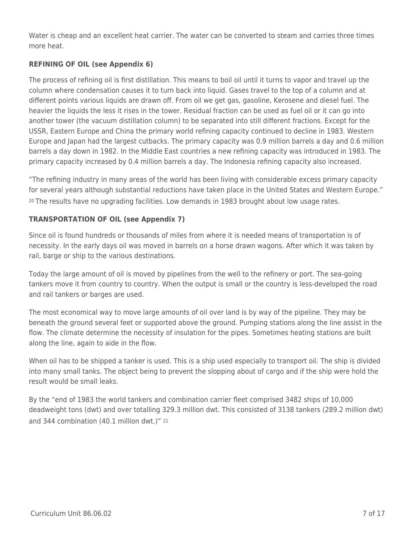Water is cheap and an excellent heat carrier. The water can be converted to steam and carries three times more heat.

### **REFINING OF OIL (see Appendix 6)**

The process of refining oil is first distillation. This means to boil oil until it turns to vapor and travel up the column where condensation causes it to turn back into liquid. Gases travel to the top of a column and at different points various liquids are drawn off. From oil we get gas, gasoline, Kerosene and diesel fuel. The heavier the liquids the less it rises in the tower. Residual fraction can be used as fuel oil or it can go into another tower (the vacuum distillation column) to be separated into still different fractions. Except for the USSR, Eastern Europe and China the primary world refining capacity continued to decline in 1983. Western Europe and Japan had the largest cutbacks. The primary capacity was 0.9 million barrels a day and 0.6 million barrels a day down in 1982. In the Middle East countries a new refining capacity was introduced in 1983. The primary capacity increased by 0.4 million barrels a day. The Indonesia refining capacity also increased.

"The refining industry in many areas of the world has been living with considerable excess primary capacity for several years although substantial reductions have taken place in the United States and Western Europe." <sup>20</sup>The results have no upgrading facilities. Low demands in 1983 brought about low usage rates.

### **TRANSPORTATION OF OIL (see Appendix 7)**

Since oil is found hundreds or thousands of miles from where it is needed means of transportation is of necessity. In the early days oil was moved in barrels on a horse drawn wagons. After which it was taken by rail, barge or ship to the various destinations.

Today the large amount of oil is moved by pipelines from the well to the refinery or port. The sea-going tankers move it from country to country. When the output is small or the country is less-developed the road and rail tankers or barges are used.

The most economical way to move large amounts of oil over land is by way of the pipeline. They may be beneath the ground several feet or supported above the ground. Pumping stations along the line assist in the flow. The climate determine the necessity of insulation for the pipes. Sometimes heating stations are built along the line, again to aide in the flow.

When oil has to be shipped a tanker is used. This is a ship used especially to transport oil. The ship is divided into many small tanks. The object being to prevent the slopping about of cargo and if the ship were hold the result would be small leaks.

By the "end of 1983 the world tankers and combination carrier fleet comprised 3482 ships of 10,000 deadweight tons (dwt) and over totalling 329.3 million dwt. This consisted of 3138 tankers (289.2 million dwt) and 344 combination (40.1 million dwt.)" 21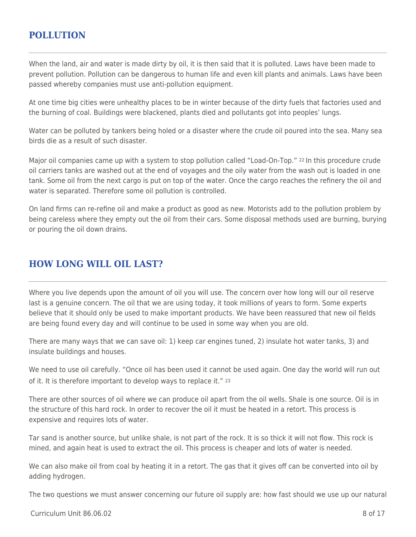### **POLLUTION**

When the land, air and water is made dirty by oil, it is then said that it is polluted. Laws have been made to prevent pollution. Pollution can be dangerous to human life and even kill plants and animals. Laws have been passed whereby companies must use anti-pollution equipment.

At one time big cities were unhealthy places to be in winter because of the dirty fuels that factories used and the burning of coal. Buildings were blackened, plants died and pollutants got into peoples' lungs.

Water can be polluted by tankers being holed or a disaster where the crude oil poured into the sea. Many sea birds die as a result of such disaster.

Major oil companies came up with a system to stop pollution called "Load-On-Top." 22 In this procedure crude oil carriers tanks are washed out at the end of voyages and the oily water from the wash out is loaded in one tank. Some oil from the next cargo is put on top of the water. Once the cargo reaches the refinery the oil and water is separated. Therefore some oil pollution is controlled.

On land firms can re-refine oil and make a product as good as new. Motorists add to the pollution problem by being careless where they empty out the oil from their cars. Some disposal methods used are burning, burying or pouring the oil down drains.

# **HOW LONG WILL OIL LAST?**

Where you live depends upon the amount of oil you will use. The concern over how long will our oil reserve last is a genuine concern. The oil that we are using today, it took millions of years to form. Some experts believe that it should only be used to make important products. We have been reassured that new oil fields are being found every day and will continue to be used in some way when you are old.

There are many ways that we can save oil: 1) keep car engines tuned, 2) insulate hot water tanks, 3) and insulate buildings and houses.

We need to use oil carefully. "Once oil has been used it cannot be used again. One day the world will run out of it. It is therefore important to develop ways to replace it." <sup>23</sup>

There are other sources of oil where we can produce oil apart from the oil wells. Shale is one source. Oil is in the structure of this hard rock. In order to recover the oil it must be heated in a retort. This process is expensive and requires lots of water.

Tar sand is another source, but unlike shale, is not part of the rock. It is so thick it will not flow. This rock is mined, and again heat is used to extract the oil. This process is cheaper and lots of water is needed.

We can also make oil from coal by heating it in a retort. The gas that it gives off can be converted into oil by adding hydrogen.

The two questions we must answer concerning our future oil supply are: how fast should we use up our natural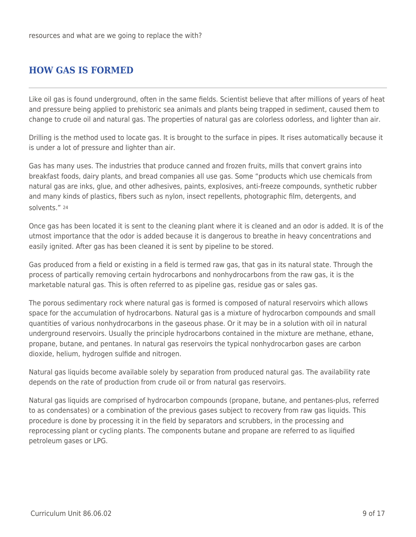## **HOW GAS IS FORMED**

Like oil gas is found underground, often in the same fields. Scientist believe that after millions of years of heat and pressure being applied to prehistoric sea animals and plants being trapped in sediment, caused them to change to crude oil and natural gas. The properties of natural gas are colorless odorless, and lighter than air.

Drilling is the method used to locate gas. It is brought to the surface in pipes. It rises automatically because it is under a lot of pressure and lighter than air.

Gas has many uses. The industries that produce canned and frozen fruits, mills that convert grains into breakfast foods, dairy plants, and bread companies all use gas. Some "products which use chemicals from natural gas are inks, glue, and other adhesives, paints, explosives, anti-freeze compounds, synthetic rubber and many kinds of plastics, fibers such as nylon, insect repellents, photographic film, detergents, and solvents." <sup>24</sup>

Once gas has been located it is sent to the cleaning plant where it is cleaned and an odor is added. It is of the utmost importance that the odor is added because it is dangerous to breathe in heavy concentrations and easily ignited. After gas has been cleaned it is sent by pipeline to be stored.

Gas produced from a field or existing in a field is termed raw gas, that gas in its natural state. Through the process of partically removing certain hydrocarbons and nonhydrocarbons from the raw gas, it is the marketable natural gas. This is often referred to as pipeline gas, residue gas or sales gas.

The porous sedimentary rock where natural gas is formed is composed of natural reservoirs which allows space for the accumulation of hydrocarbons. Natural gas is a mixture of hydrocarbon compounds and small quantities of various nonhydrocarbons in the gaseous phase. Or it may be in a solution with oil in natural underground reservoirs. Usually the principle hydrocarbons contained in the mixture are methane, ethane, propane, butane, and pentanes. In natural gas reservoirs the typical nonhydrocarbon gases are carbon dioxide, helium, hydrogen sulfide and nitrogen.

Natural gas liquids become available solely by separation from produced natural gas. The availability rate depends on the rate of production from crude oil or from natural gas reservoirs.

Natural gas liquids are comprised of hydrocarbon compounds (propane, butane, and pentanes-plus, referred to as condensates) or a combination of the previous gases subject to recovery from raw gas liquids. This procedure is done by processing it in the field by separators and scrubbers, in the processing and reprocessing plant or cycling plants. The components butane and propane are referred to as liquified petroleum gases or LPG.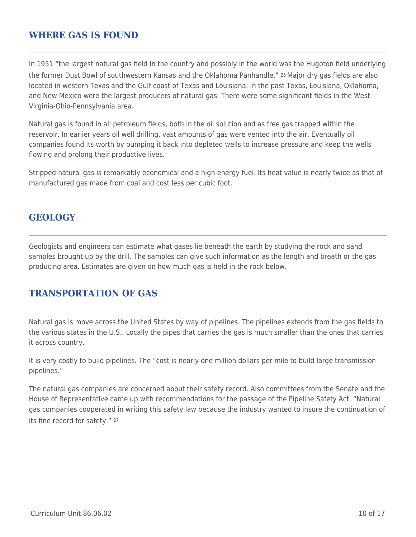### **WHERE GAS IS FOUND**

In 1951 "the largest natural gas field in the country and possibly in the world was the Hugoton field underlying the former Dust Bowl of southwestern Kansas and the Oklahoma Panhandle." 25 Major dry gas fields are also located in western Texas and the Gulf coast of Texas and Louisiana. In the past Texas, Louisiana, Oklahoma, and New Mexico were the largest producers of natural gas. There were some significant fields in the West Virginia-Ohio-Pennsylvania area.

Natural gas is found in all petroleum fields, both in the oil solution and as free gas trapped within the reservoir. In earlier years oil well drilling, vast amounts of gas were vented into the air. Eventually oil companies found its worth by pumping it back into depleted wells to increase pressure and keep the wells flowing and prolong their productive lives.

Stripped natural gas is remarkably economical and a high energy fuel. Its heat value is nearly twice as that of manufactured gas made from coal and cost less per cubic foot.

### **GEOLOGY**

Geologists and engineers can estimate what gases lie beneath the earth by studying the rock and sand samples brought up by the drill. The samples can give such information as the length and breath or the gas producing area. Estimates are given on how much gas is held in the rock below.

### **TRANSPORTATION OF GAS**

Natural gas is move across the United States by way of pipelines. The pipelines extends from the gas fields to the various states in the U.S.. Locally the pipes that carries the gas is much smaller than the ones that carries it across country.

It is very costly to build pipelines. The "cost is nearly one million dollars per mile to build large transmission pipelines."

The natural gas companies are concerned about their safety record. Also committees from the Senate and the House of Representative came up with recommendations for the passage of the Pipeline Safety Act. "Natural gas companies cooperated in writing this safety law because the industry wanted to insure the continuation of its fine record for safety." 27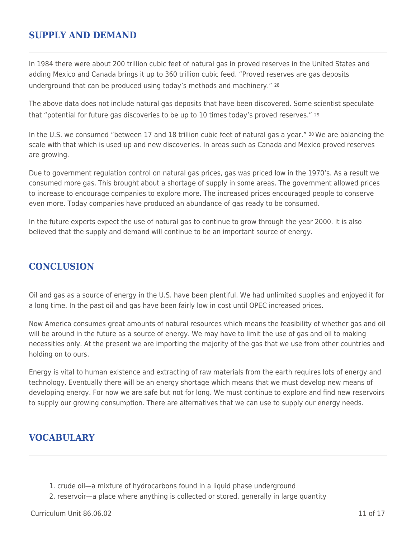### **SUPPLY AND DEMAND**

In 1984 there were about 200 trillion cubic feet of natural gas in proved reserves in the United States and adding Mexico and Canada brings it up to 360 trillion cubic feed. "Proved reserves are gas deposits underground that can be produced using today's methods and machinery." <sup>28</sup>

The above data does not include natural gas deposits that have been discovered. Some scientist speculate that "potential for future gas discoveries to be up to 10 times today's proved reserves." <sup>29</sup>

In the U.S. we consumed "between 17 and 18 trillion cubic feet of natural gas a year." <sup>30</sup> We are balancing the scale with that which is used up and new discoveries. In areas such as Canada and Mexico proved reserves are growing.

Due to government regulation control on natural gas prices, gas was priced low in the 1970's. As a result we consumed more gas. This brought about a shortage of supply in some areas. The government allowed prices to increase to encourage companies to explore more. The increased prices encouraged people to conserve even more. Today companies have produced an abundance of gas ready to be consumed.

In the future experts expect the use of natural gas to continue to grow through the year 2000. It is also believed that the supply and demand will continue to be an important source of energy.

### **CONCLUSION**

Oil and gas as a source of energy in the U.S. have been plentiful. We had unlimited supplies and enjoyed it for a long time. In the past oil and gas have been fairly low in cost until OPEC increased prices.

Now America consumes great amounts of natural resources which means the feasibility of whether gas and oil will be around in the future as a source of energy. We may have to limit the use of gas and oil to making necessities only. At the present we are importing the majority of the gas that we use from other countries and holding on to ours.

Energy is vital to human existence and extracting of raw materials from the earth requires lots of energy and technology. Eventually there will be an energy shortage which means that we must develop new means of developing energy. For now we are safe but not for long. We must continue to explore and find new reservoirs to supply our growing consumption. There are alternatives that we can use to supply our energy needs.

### **VOCABULARY**

- 1. crude oil—a mixture of hydrocarbons found in a liquid phase underground
- 2. reservoir—a place where anything is collected or stored, generally in large quantity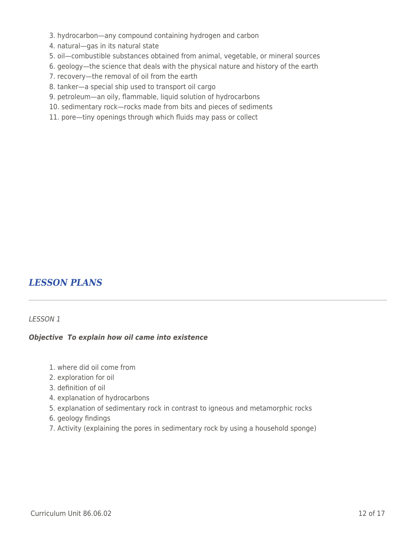- 3. hydrocarbon—any compound containing hydrogen and carbon
- 4. natural—gas in its natural state
- 5. oil—combustible substances obtained from animal, vegetable, or mineral sources
- 6. geology—the science that deals with the physical nature and history of the earth
- 7. recovery—the removal of oil from the earth
- 8. tanker—a special ship used to transport oil cargo
- 9. petroleum—an oily, flammable, liquid solution of hydrocarbons
- 10. sedimentary rock—rocks made from bits and pieces of sediments
- 11. pore—tiny openings through which fluids may pass or collect

# *LESSON PLANS*

#### LESSON 1

#### *Objective To explain how oil came into existence*

- 1. where did oil come from
- 2. exploration for oil
- 3. definition of oil
- 4. explanation of hydrocarbons
- 5. explanation of sedimentary rock in contrast to igneous and metamorphic rocks
- 6. geology findings
- 7. Activity (explaining the pores in sedimentary rock by using a household sponge)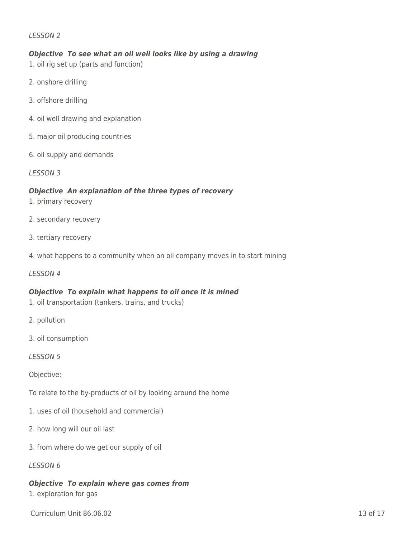#### LESSON 2

#### *Objective To see what an oil well looks like by using a drawing*

- 1. oil rig set up (parts and function)
- 2. onshore drilling
- 3. offshore drilling
- 4. oil well drawing and explanation
- 5. major oil producing countries
- 6. oil supply and demands

LESSON 3

#### *Objective An explanation of the three types of recovery*

- 1. primary recovery
- 2. secondary recovery
- 3. tertiary recovery
- 4. what happens to a community when an oil company moves in to start mining
- LESSON 4

#### *Objective To explain what happens to oil once it is mined*

- 1. oil transportation (tankers, trains, and trucks)
- 2. pollution
- 3. oil consumption
- LESSON 5

Objective:

- To relate to the by-products of oil by looking around the home
- 1. uses of oil (household and commercial)
- 2. how long will our oil last
- 3. from where do we get our supply of oil
- LESSON 6

### *Objective To explain where gas comes from*

1. exploration for gas

Curriculum Unit 86.06.02 13 of 17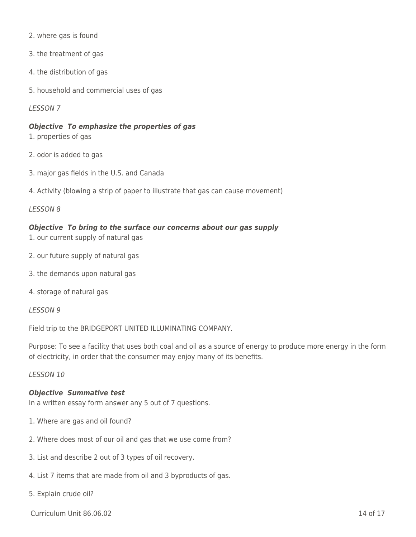- 2. where gas is found
- 3. the treatment of gas
- 4. the distribution of gas
- 5. household and commercial uses of gas

#### LESSON 7

#### *Objective To emphasize the properties of gas*

- 1. properties of gas
- 2. odor is added to gas
- 3. major gas fields in the U.S. and Canada
- 4. Activity (blowing a strip of paper to illustrate that gas can cause movement)

#### LESSON 8

#### *Objective To bring to the surface our concerns about our gas supply*

- 1. our current supply of natural gas
- 2. our future supply of natural gas
- 3. the demands upon natural gas
- 4. storage of natural gas

#### LESSON 9

Field trip to the BRIDGEPORT UNITED ILLUMINATING COMPANY.

Purpose: To see a facility that uses both coal and oil as a source of energy to produce more energy in the form of electricity, in order that the consumer may enjoy many of its benefits.

#### LESSON 10

### *Objective Summative test*

In a written essay form answer any 5 out of 7 questions.

- 1. Where are gas and oil found?
- 2. Where does most of our oil and gas that we use come from?
- 3. List and describe 2 out of 3 types of oil recovery.
- 4. List 7 items that are made from oil and 3 byproducts of gas.
- 5. Explain crude oil?

Curriculum Unit 86.06.02 14 of 17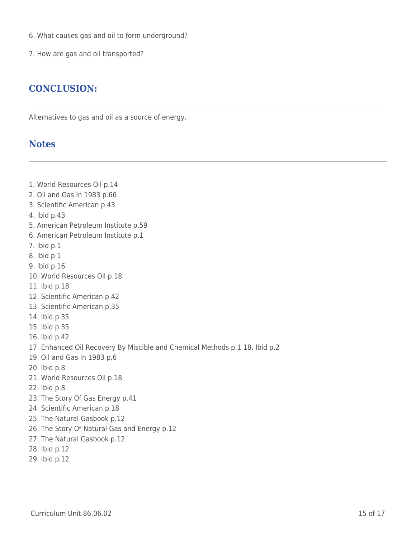- 6. What causes gas and oil to form underground?
- 7. How are gas and oil transported?

## **CONCLUSION:**

Alternatives to gas and oil as a source of energy.

## **Notes**

1. World Resources Oil p.14 2. Oil and Gas In 1983 p.66 3. Scientific American p.43 4. Ibid p.43 5. American Petroleum Institute p.59 6. American Petroleum Institute p.1 7. Ibid p.1 8. Ibid p.1 9. Ibid p.16 10. World Resources Oil p.18 11. Ibid p.18 12. Scientific American p.42 13. Scientific American p.35 14. Ibid p.35 15. Ibid p.35 16. Ibid p.42 17. Enhanced Oil Recovery By Miscible and Chemical Methods p.1 18. Ibid p.2 19. Oil and Gas In 1983 p.6 20. Ibid p.8 21. World Resources Oil p.18 22. Ibid p.8 23. The Story Of Gas Energy p.41 24. Scientific American p.18 25. The Natural Gasbook p.12 26. The Story Of Natural Gas and Energy p.12 27. The Natural Gasbook p.12 28. Ibid p.12 29. Ibid p.12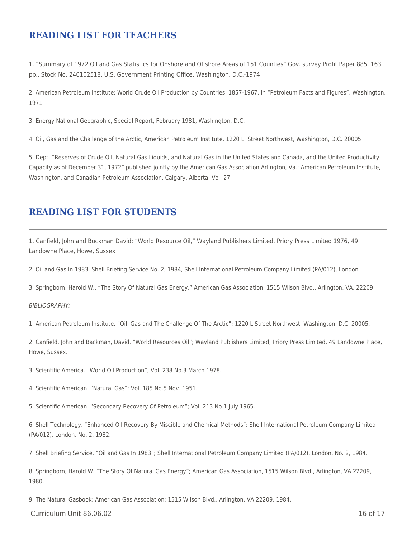### **READING LIST FOR TEACHERS**

1. "Summary of 1972 Oil and Gas Statistics for Onshore and Offshore Areas of 151 Counties" Gov. survey Profit Paper 885, 163 pp., Stock No. 240102518, U.S. Government Printing Office, Washington, D.C.-1974

2. American Petroleum Institute: World Crude Oil Production by Countries, 1857-1967, in "Petroleum Facts and Figures", Washington, 1971

3. Energy National Geographic, Special Report, February 1981, Washington, D.C.

4. Oil, Gas and the Challenge of the Arctic, American Petroleum Institute, 1220 L. Street Northwest, Washington, D.C. 20005

5. Dept. "Reserves of Crude Oil, Natural Gas Liquids, and Natural Gas in the United States and Canada, and the United Productivity Capacity as of December 31, 1972" published jointly by the American Gas Association Arlington, Va.; American Petroleum Institute, Washington, and Canadian Petroleum Association, Calgary, Alberta, Vol. 27

## **READING LIST FOR STUDENTS**

1. Canfield, John and Buckman David; "World Resource Oil," Wayland Publishers Limited, Priory Press Limited 1976, 49 Landowne Place, Howe, Sussex

2. Oil and Gas In 1983, Shell Briefing Service No. 2, 1984, Shell International Petroleum Company Limited (PA/012), London

3. Springborn, Harold W., "The Story Of Natural Gas Energy," American Gas Association, 1515 Wilson Blvd., Arlington, VA. 22209

#### BIBLIOGRAPHY:

1. American Petroleum Institute. "Oil, Gas and The Challenge Of The Arctic"; 1220 L Street Northwest, Washington, D.C. 20005.

2. Canfield, John and Backman, David. "World Resources Oil"; Wayland Publishers Limited, Priory Press Limited, 49 Landowne Place, Howe, Sussex.

3. Scientific America. "World Oil Production"; Vol. 238 No.3 March 1978.

4. Scientific American. "Natural Gas"; Vol. 185 No.5 Nov. 1951.

5. Scientific American. "Secondary Recovery Of Petroleum"; Vol. 213 No.1 July 1965.

6. Shell Technology. "Enhanced Oil Recovery By Miscible and Chemical Methods"; Shell International Petroleum Company Limited (PA/012), London, No. 2, 1982.

7. Shell Briefing Service. "Oil and Gas In 1983"; Shell International Petroleum Company Limited (PA/012), London, No. 2, 1984.

8. Springborn, Harold W. "The Story Of Natural Gas Energy"; American Gas Association, 1515 Wilson Blvd., Arlington, VA 22209, 1980.

9. The Natural Gasbook; American Gas Association; 1515 Wilson Blvd., Arlington, VA 22209, 1984.

 $C$ urriculum Unit 86.06.02 16 of 17